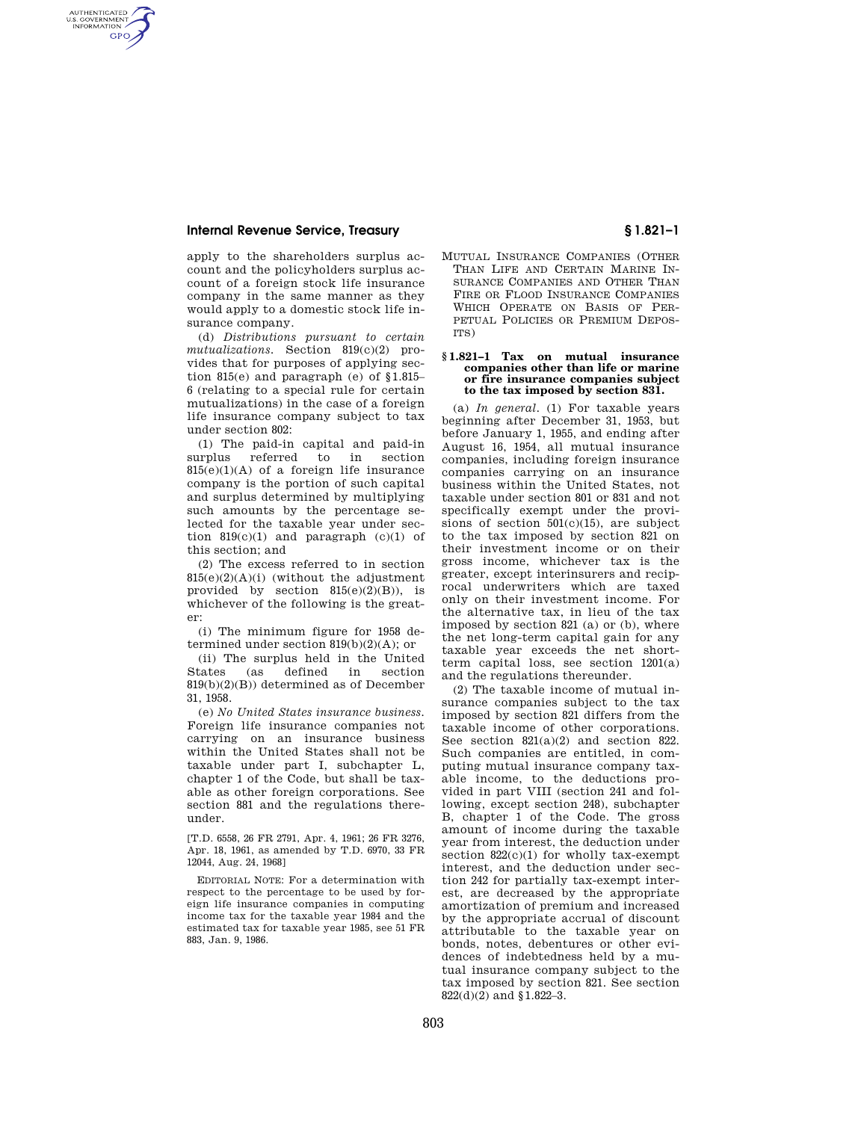# **Internal Revenue Service, Treasury § 1.821–1**

AUTHENTICATED<br>U.S. GOVERNMENT<br>INFORMATION **GPO** 

> apply to the shareholders surplus account and the policyholders surplus account of a foreign stock life insurance company in the same manner as they would apply to a domestic stock life insurance company.

> (d) *Distributions pursuant to certain mutualizations.* Section 819(c)(2) provides that for purposes of applying section 815(e) and paragraph (e) of §1.815– 6 (relating to a special rule for certain mutualizations) in the case of a foreign life insurance company subject to tax under section 802:

> (1) The paid-in capital and paid-in surplus referred to in section  $815(e)(1)(A)$  of a foreign life insurance company is the portion of such capital and surplus determined by multiplying such amounts by the percentage selected for the taxable year under section  $819(c)(1)$  and paragraph  $(c)(1)$  of this section; and

> (2) The excess referred to in section 815(e)(2)(A)(i) (without the adjustment provided by section  $815(e)(2)(B)$ , is whichever of the following is the greater:

(i) The minimum figure for 1958 determined under section  $819(b)(2)(A)$ ; or

(ii) The surplus held in the United States (as defined in section 819(b)(2)(B)) determined as of December 31, 1958.

(e) *No United States insurance business.*  Foreign life insurance companies not carrying on an insurance business within the United States shall not be taxable under part I, subchapter L, chapter 1 of the Code, but shall be taxable as other foreign corporations. See section 881 and the regulations thereunder.

[T.D. 6558, 26 FR 2791, Apr. 4, 1961; 26 FR 3276, Apr. 18, 1961, as amended by T.D. 6970, 33 FR 12044, Aug. 24, 1968]

EDITORIAL NOTE: For a determination with respect to the percentage to be used by foreign life insurance companies in computing income tax for the taxable year 1984 and the estimated tax for taxable year 1985, see 51 FR 883, Jan. 9, 1986.

- MUTUAL INSURANCE COMPANIES (OTHER
- THAN LIFE AND CERTAIN MARINE IN-SURANCE COMPANIES AND OTHER THAN FIRE OR FLOOD INSURANCE COMPANIES WHICH OPERATE ON BASIS OF PER-PETUAL POLICIES OR PREMIUM DEPOS-ITS)

### **§ 1.821–1 Tax on mutual insurance companies other than life or marine or fire insurance companies subject to the tax imposed by section 831.**

(a) *In general.* (1) For taxable years beginning after December 31, 1953, but before January 1, 1955, and ending after August 16, 1954, all mutual insurance companies, including foreign insurance companies carrying on an insurance business within the United States, not taxable under section 801 or 831 and not specifically exempt under the provisions of section  $501(c)(15)$ , are subject to the tax imposed by section 821 on their investment income or on their gross income, whichever tax is the greater, except interinsurers and reciprocal underwriters which are taxed only on their investment income. For the alternative tax, in lieu of the tax imposed by section 821 (a) or (b), where the net long-term capital gain for any taxable year exceeds the net shortterm capital loss, see section 1201(a) and the regulations thereunder.

(2) The taxable income of mutual insurance companies subject to the tax imposed by section 821 differs from the taxable income of other corporations. See section 821(a)(2) and section 822. Such companies are entitled, in computing mutual insurance company taxable income, to the deductions provided in part VIII (section 241 and following, except section 248), subchapter B, chapter 1 of the Code. The gross amount of income during the taxable year from interest, the deduction under section  $822(c)(1)$  for wholly tax-exempt interest, and the deduction under section 242 for partially tax-exempt interest, are decreased by the appropriate amortization of premium and increased by the appropriate accrual of discount attributable to the taxable year on bonds, notes, debentures or other evidences of indebtedness held by a mutual insurance company subject to the tax imposed by section 821. See section 822(d)(2) and §1.822–3.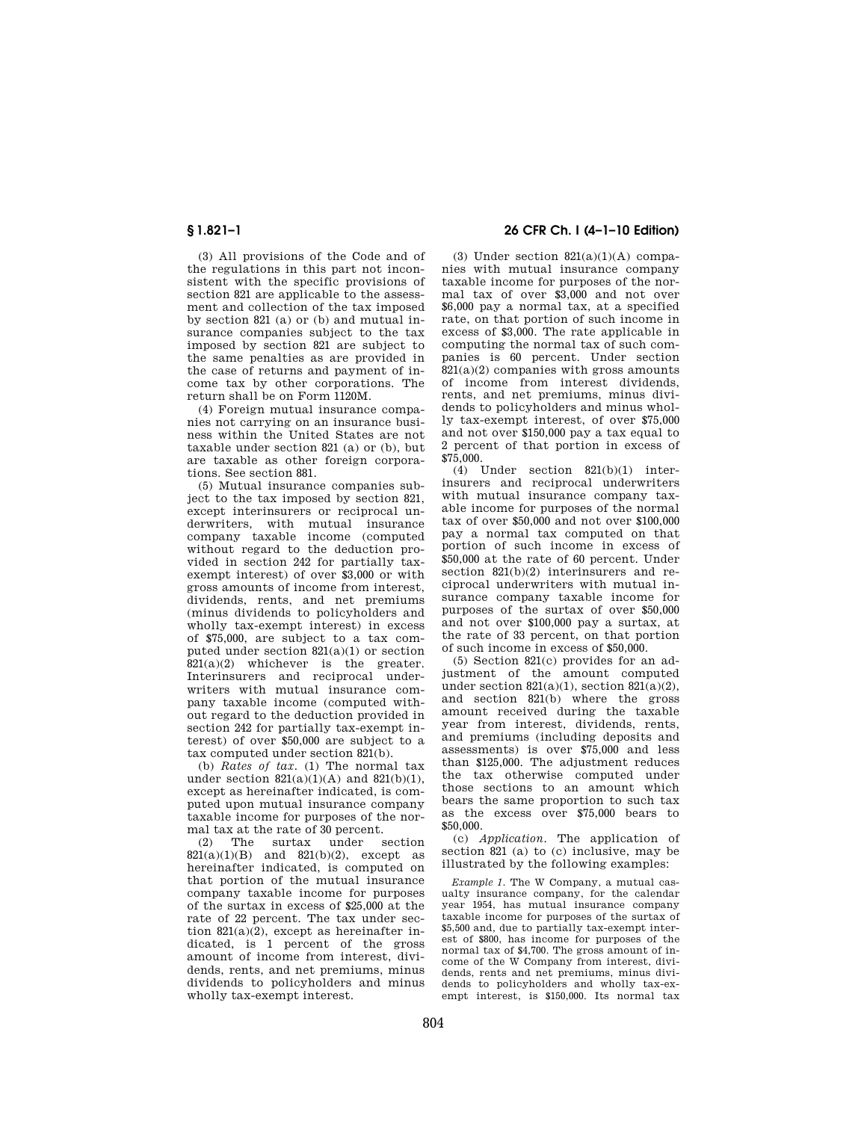(3) All provisions of the Code and of the regulations in this part not inconsistent with the specific provisions of section 821 are applicable to the assessment and collection of the tax imposed by section 821 (a) or (b) and mutual insurance companies subject to the tax imposed by section 821 are subject to the same penalties as are provided in the case of returns and payment of income tax by other corporations. The return shall be on Form 1120M.

(4) Foreign mutual insurance companies not carrying on an insurance business within the United States are not taxable under section 821 (a) or (b), but are taxable as other foreign corporations. See section 881.

(5) Mutual insurance companies subject to the tax imposed by section 821, except interinsurers or reciprocal underwriters, with mutual insurance company taxable income (computed without regard to the deduction provided in section 242 for partially taxexempt interest) of over \$3,000 or with gross amounts of income from interest, dividends, rents, and net premiums (minus dividends to policyholders and wholly tax-exempt interest) in excess of \$75,000, are subject to a tax computed under section 821(a)(1) or section 821(a)(2) whichever is the greater. Interinsurers and reciprocal underwriters with mutual insurance company taxable income (computed without regard to the deduction provided in section 242 for partially tax-exempt interest) of over \$50,000 are subject to a tax computed under section 821(b).

(b) *Rates of tax.* (1) The normal tax under section  $821(a)(1)(A)$  and  $821(b)(1)$ . except as hereinafter indicated, is computed upon mutual insurance company taxable income for purposes of the normal tax at the rate of 30 percent.

(2) The surtax under section  $821(a)(1)(B)$  and  $821(b)(2)$ , except as hereinafter indicated, is computed on that portion of the mutual insurance company taxable income for purposes of the surtax in excess of \$25,000 at the rate of 22 percent. The tax under section  $821(a)(2)$ , except as hereinafter indicated, is 1 percent of the gross amount of income from interest, dividends, rents, and net premiums, minus dividends to policyholders and minus wholly tax-exempt interest.

# **§ 1.821–1 26 CFR Ch. I (4–1–10 Edition)**

(3) Under section  $821(a)(1)(A)$  companies with mutual insurance company taxable income for purposes of the normal tax of over \$3,000 and not over \$6,000 pay a normal tax, at a specified rate, on that portion of such income in excess of \$3,000. The rate applicable in computing the normal tax of such companies is 60 percent. Under section  $821(a)(2)$  companies with gross amounts of income from interest dividends, rents, and net premiums, minus dividends to policyholders and minus wholly tax-exempt interest, of over \$75,000 and not over \$150,000 pay a tax equal to 2 percent of that portion in excess of \$75,000.

(4) Under section 821(b)(1) interinsurers and reciprocal underwriters with mutual insurance company taxable income for purposes of the normal tax of over \$50,000 and not over \$100,000 pay a normal tax computed on that portion of such income in excess of \$50,000 at the rate of 60 percent. Under section 821(b)(2) interinsurers and reciprocal underwriters with mutual insurance company taxable income for purposes of the surtax of over \$50,000 and not over \$100,000 pay a surtax, at the rate of 33 percent, on that portion of such income in excess of \$50,000.

(5) Section 821(c) provides for an adjustment of the amount computed under section  $821(a)(1)$ , section  $821(a)(2)$ , and section 821(b) where the gross amount received during the taxable year from interest, dividends, rents, and premiums (including deposits and assessments) is over \$75,000 and less than \$125,000. The adjustment reduces the tax otherwise computed under those sections to an amount which bears the same proportion to such tax as the excess over \$75,000 bears to \$50,000.

(c) *Application.* The application of section 821 (a) to (c) inclusive, may be illustrated by the following examples:

*Example 1.* The W Company, a mutual casualty insurance company, for the calendar year 1954, has mutual insurance company taxable income for purposes of the surtax of \$5,500 and, due to partially tax-exempt interest of \$800, has income for purposes of the normal tax of \$4,700. The gross amount of income of the W Company from interest, dividends, rents and net premiums, minus dividends to policyholders and wholly tax-exempt interest, is \$150,000. Its normal tax